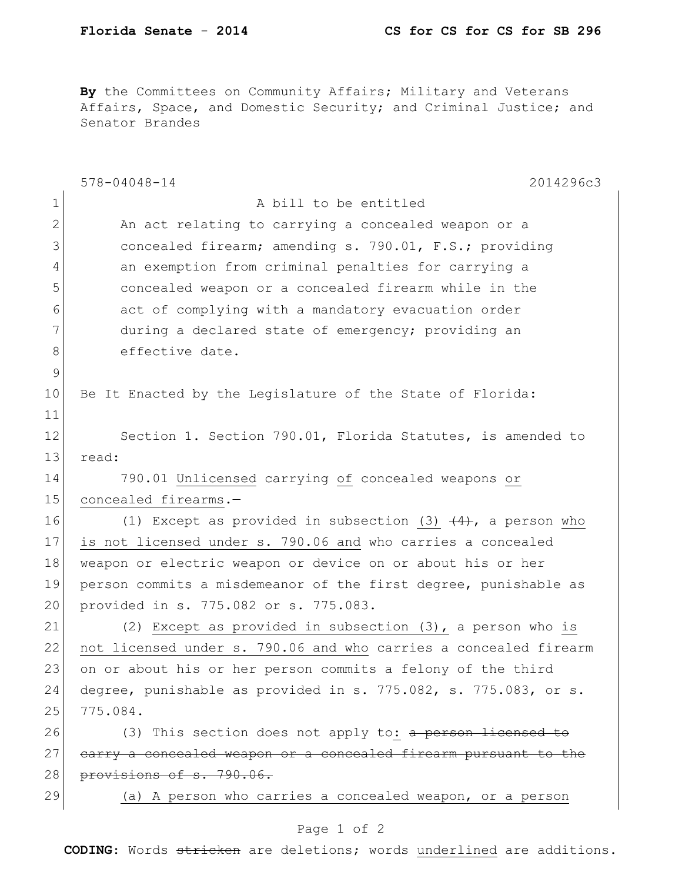By the Committees on Community Affairs; Military and Veterans Affairs, Space, and Domestic Security; and Criminal Justice; and Senator Brandes

|              | $578 - 04048 - 14$<br>2014296c3                                  |
|--------------|------------------------------------------------------------------|
| $\mathbf 1$  | A bill to be entitled                                            |
| $\mathbf{2}$ | An act relating to carrying a concealed weapon or a              |
| 3            | concealed firearm; amending s. 790.01, F.S.; providing           |
| 4            | an exemption from criminal penalties for carrying a              |
| 5            | concealed weapon or a concealed firearm while in the             |
| 6            | act of complying with a mandatory evacuation order               |
| 7            | during a declared state of emergency; providing an               |
| 8            | effective date.                                                  |
| 9            |                                                                  |
| 10           | Be It Enacted by the Legislature of the State of Florida:        |
| 11           |                                                                  |
| 12           | Section 1. Section 790.01, Florida Statutes, is amended to       |
| 13           | read:                                                            |
| 14           | 790.01 Unlicensed carrying of concealed weapons or               |
| 15           | concealed firearms.-                                             |
| 16           | (1) Except as provided in subsection (3) $(4)$ , a person who    |
| 17           | is not licensed under s. 790.06 and who carries a concealed      |
| 18           | weapon or electric weapon or device on or about his or her       |
| 19           | person commits a misdemeanor of the first degree, punishable as  |
| 20           | provided in s. 775.082 or s. 775.083.                            |
| 21           | (2) Except as provided in subsection (3), a person who is        |
| 22           | not licensed under s. 790.06 and who carries a concealed firearm |
| 23           | on or about his or her person commits a felony of the third      |
| 24           | degree, punishable as provided in s. 775.082, s. 775.083, or s.  |
| 25           | 775.084.                                                         |
| 26           | (3) This section does not apply to: a person licensed to         |
| 27           | earry a concealed weapon or a concealed firearm pursuant to the  |
| 28           | provisions of s. 790.06.                                         |
| 29           | (a) A person who carries a concealed weapon, or a person         |
|              | Page 1 of 2                                                      |

**CODING**: Words stricken are deletions; words underlined are additions.